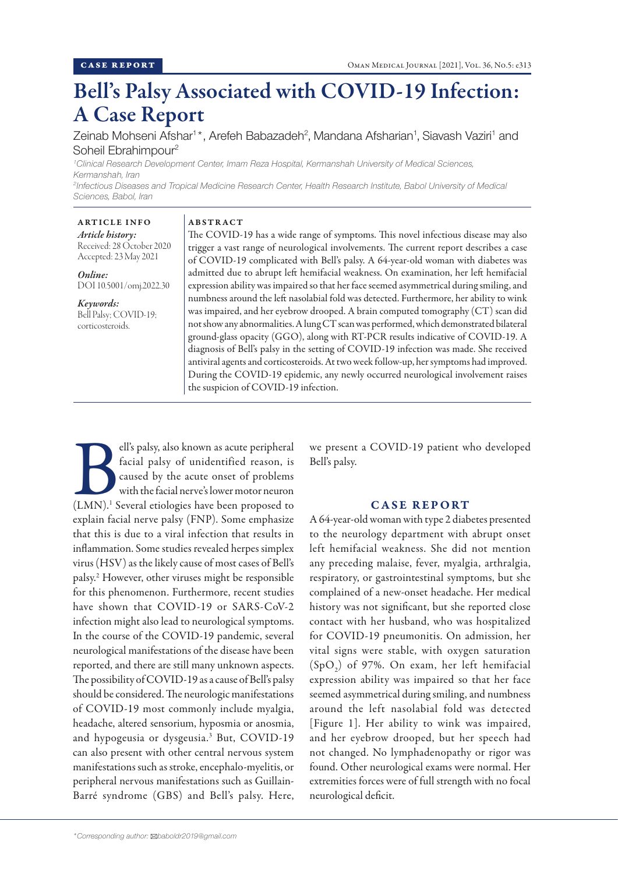# Bell's Palsy Associated with COVID-19 Infection: A Case Report

Zeinab Mohseni Afshar<sup>1\*</sup>, Arefeh Babazadeh<sup>2</sup>, Mandana Afsharian<sup>1</sup>, Siavash Vaziri<sup>1</sup> and Soheil Ebrahimpour<sup>2</sup>

*1 Clinical Research Development Center, Imam Reza Hospital, Kermanshah University of Medical Sciences, Kermanshah, Iran 2 Infectious Diseases and Tropical Medicine Research Center, Health Research Institute, Babol University of Medical*

*Sciences, Babol, Iran*

# ARTICLE INFO

## ABSTRACT

*Article history:* Received: 28 October 2020 Accepted: 23 May 2021

*Online:* DOI 10.5001/omj.2022.30

*Keywords:*  Bell Palsy; COVID-19; corticosteroids.

The COVID-19 has a wide range of symptoms. This novel infectious disease may also trigger a vast range of neurological involvements. The current report describes a case of COVID-19 complicated with Bell's palsy. A 64-year-old woman with diabetes was admitted due to abrupt left hemifacial weakness. On examination, her left hemifacial expression ability was impaired so that her face seemed asymmetrical during smiling, and numbness around the left nasolabial fold was detected. Furthermore, her ability to wink was impaired, and her eyebrow drooped. A brain computed tomography (CT) scan did not show any abnormalities. A lung CT scan was performed, which demonstrated bilateral ground-glass opacity (GGO), along with RT-PCR results indicative of COVID-19. A diagnosis of Bell's palsy in the setting of COVID-19 infection was made. She received antiviral agents and corticosteroids. At two week follow-up, her symptoms had improved. During the COVID-19 epidemic, any newly occurred neurological involvement raises the suspicion of COVID-19 infection.

Ell's palsy, also known as acute peripheral<br>
facial palsy of unidentified reason, is<br>
caused by the acute onset of problems<br>
with the facial nerve's lower motor neuron<br>
(LMN).<sup>1</sup> Several etiologies have been proposed to facial palsy of unidentified reason, is caused by the acute onset of problems with the facial nerve's lower motor neuron explain facial nerve palsy (FNP). Some emphasize that this is due to a viral infection that results in inflammation. Some studies revealed herpes simplex virus (HSV) as the likely cause of most cases of Bell's palsy.2 However, other viruses might be responsible for this phenomenon. Furthermore, recent studies have shown that COVID-19 or SARS-CoV-2 infection might also lead to neurological symptoms. In the course of the COVID-19 pandemic, several neurological manifestations of the disease have been reported, and there are still many unknown aspects. The possibility of COVID-19 as a cause of Bell's palsy should be considered. The neurologic manifestations of COVID-19 most commonly include myalgia, headache, altered sensorium, hyposmia or anosmia, and hypogeusia or dysgeusia.3 But, COVID-19 can also present with other central nervous system manifestations such as stroke, encephalo-myelitis, or peripheral nervous manifestations such as Guillain-Barré syndrome (GBS) and Bell's palsy. Here,

we present a COVID-19 patient who developed Bell's palsy.

# CASE REPORT

A 64-year-old woman with type 2 diabetes presented to the neurology department with abrupt onset left hemifacial weakness. She did not mention any preceding malaise, fever, myalgia, arthralgia, respiratory, or gastrointestinal symptoms, but she complained of a new-onset headache. Her medical history was not significant, but she reported close contact with her husband, who was hospitalized for COVID-19 pneumonitis. On admission, her vital signs were stable, with oxygen saturation  $(SpO<sub>2</sub>)$  of 97%. On exam, her left hemifacial expression ability was impaired so that her face seemed asymmetrical during smiling, and numbness around the left nasolabial fold was detected [Figure 1]. Her ability to wink was impaired, and her eyebrow drooped, but her speech had not changed. No lymphadenopathy or rigor was found. Other neurological exams were normal. Her extremities forces were of full strength with no focal neurological deficit.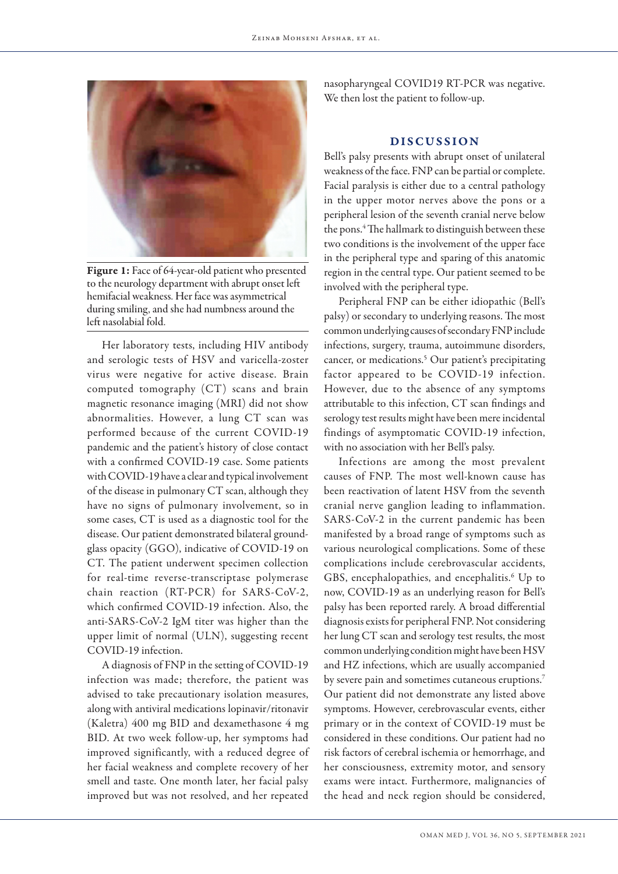

Figure 1: Face of 64-year-old patient who presented to the neurology department with abrupt onset left hemifacial weakness. Her face was asymmetrical during smiling, and she had numbness around the left nasolabial fold.

Her laboratory tests, including HIV antibody and serologic tests of HSV and varicella-zoster virus were negative for active disease. Brain computed tomography (CT) scans and brain magnetic resonance imaging (MRI) did not show abnormalities. However, a lung CT scan was performed because of the current COVID-19 pandemic and the patient's history of close contact with a confirmed COVID-19 case. Some patients with COVID-19 have a clear and typical involvement of the disease in pulmonary CT scan, although they have no signs of pulmonary involvement, so in some cases, CT is used as a diagnostic tool for the disease. Our patient demonstrated bilateral groundglass opacity (GGO), indicative of COVID-19 on CT. The patient underwent specimen collection for real-time reverse-transcriptase polymerase chain reaction (RT-PCR) for SARS-CoV-2, which confirmed COVID-19 infection. Also, the anti-SARS-CoV-2 IgM titer was higher than the upper limit of normal (ULN), suggesting recent COVID-19 infection.

A diagnosis of FNP in the setting of COVID-19 infection was made; therefore, the patient was advised to take precautionary isolation measures, along with antiviral medications lopinavir/ritonavir (Kaletra) 400 mg BID and dexamethasone 4 mg BID. At two week follow-up, her symptoms had improved significantly, with a reduced degree of her facial weakness and complete recovery of her smell and taste. One month later, her facial palsy improved but was not resolved, and her repeated

nasopharyngeal COVID19 RT-PCR was negative. We then lost the patient to follow-up.

### DISCUSSION

Bell's palsy presents with abrupt onset of unilateral weakness of the face. FNP can be partial or complete. Facial paralysis is either due to a central pathology in the upper motor nerves above the pons or a peripheral lesion of the seventh cranial nerve below the pons.<sup>4</sup> The hallmark to distinguish between these two conditions is the involvement of the upper face in the peripheral type and sparing of this anatomic region in the central type. Our patient seemed to be involved with the peripheral type.

Peripheral FNP can be either idiopathic (Bell's palsy) or secondary to underlying reasons. The most common underlying causes of secondary FNP include infections, surgery, trauma, autoimmune disorders, cancer, or medications.<sup>5</sup> Our patient's precipitating factor appeared to be COVID-19 infection. However, due to the absence of any symptoms attributable to this infection, CT scan findings and serology test results might have been mere incidental findings of asymptomatic COVID-19 infection, with no association with her Bell's palsy.

Infections are among the most prevalent causes of FNP. The most well-known cause has been reactivation of latent HSV from the seventh cranial nerve ganglion leading to inflammation. SARS-CoV-2 in the current pandemic has been manifested by a broad range of symptoms such as various neurological complications. Some of these complications include cerebrovascular accidents, GBS, encephalopathies, and encephalitis.<sup>6</sup> Up to now, COVID-19 as an underlying reason for Bell's palsy has been reported rarely. A broad differential diagnosis exists for peripheral FNP. Not considering her lung CT scan and serology test results, the most common underlying condition might have been HSV and HZ infections, which are usually accompanied by severe pain and sometimes cutaneous eruptions.<sup>7</sup> Our patient did not demonstrate any listed above symptoms. However, cerebrovascular events, either primary or in the context of COVID-19 must be considered in these conditions. Our patient had no risk factors of cerebral ischemia or hemorrhage, and her consciousness, extremity motor, and sensory exams were intact. Furthermore, malignancies of the head and neck region should be considered,